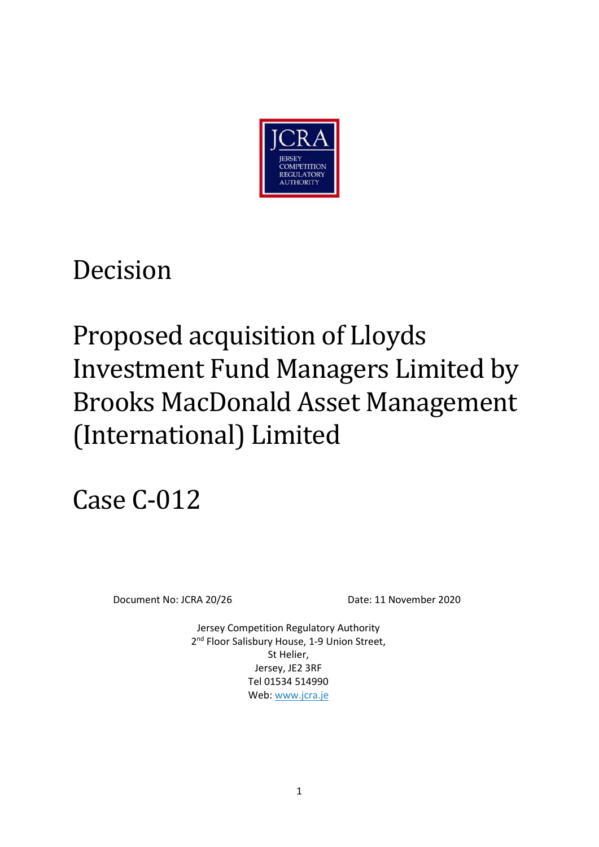

# Decision

# Proposed acquisition of Lloyds Investment Fund Managers Limited by Brooks MacDonald Asset Management (International) Limited

# Case C-012

Document No: JCRA 20/26 Date: 11 November 2020

Jersey Competition Regulatory Authority 2<sup>nd</sup> Floor Salisbury House, 1-9 Union Street, St Helier, Jersey, JE2 3RF Tel 01534 514990 Web: www.jcra.je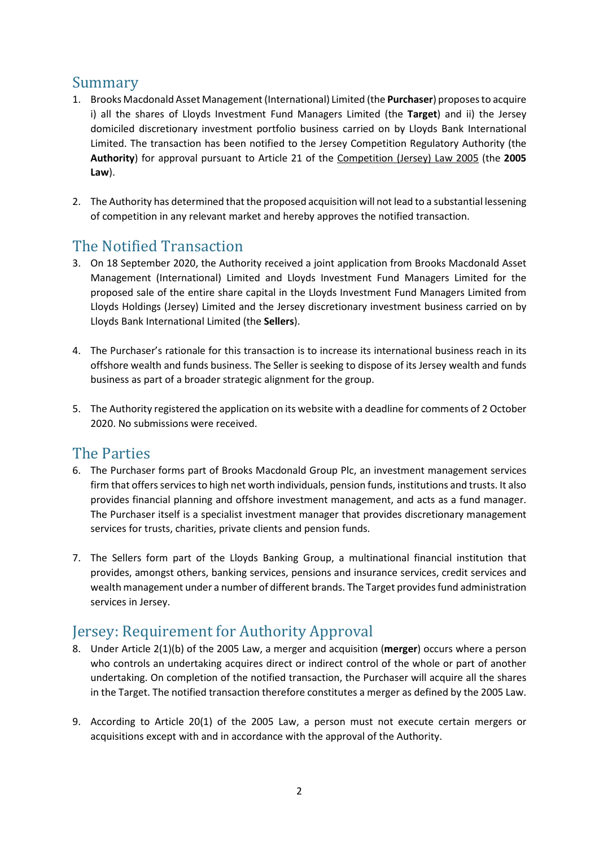## Summary

- 1. Brooks Macdonald Asset Management (International) Limited (the **Purchaser**) proposes to acquire i) all the shares of Lloyds Investment Fund Managers Limited (the **Target**) and ii) the Jersey domiciled discretionary investment portfolio business carried on by Lloyds Bank International Limited. The transaction has been notified to the Jersey Competition Regulatory Authority (the **Authority**) for approval pursuant to Article 21 of the Competition (Jersey) Law 2005 (the **2005 Law**).
- 2. The Authority has determined that the proposed acquisition will not lead to a substantial lessening of competition in any relevant market and hereby approves the notified transaction.

# The Notified Transaction

- 3. On 18 September 2020, the Authority received a joint application from Brooks Macdonald Asset Management (International) Limited and Lloyds Investment Fund Managers Limited for the proposed sale of the entire share capital in the Lloyds Investment Fund Managers Limited from Lloyds Holdings (Jersey) Limited and the Jersey discretionary investment business carried on by Lloyds Bank International Limited (the **Sellers**).
- 4. The Purchaser's rationale for this transaction is to increase its international business reach in its offshore wealth and funds business. The Seller is seeking to dispose of its Jersey wealth and funds business as part of a broader strategic alignment for the group.
- 5. The Authority registered the application on its website with a deadline for comments of 2 October 2020. No submissions were received.

## The Parties

- 6. The Purchaser forms part of Brooks Macdonald Group Plc, an investment management services firm that offers services to high net worth individuals, pension funds, institutions and trusts. It also provides financial planning and offshore investment management, and acts as a fund manager. The Purchaser itself is a specialist investment manager that provides discretionary management services for trusts, charities, private clients and pension funds.
- 7. The Sellers form part of the Lloyds Banking Group, a multinational financial institution that provides, amongst others, banking services, pensions and insurance services, credit services and wealth management under a number of different brands. The Target provides fund administration services in Jersey.

# Jersey: Requirement for Authority Approval

- 8. Under Article 2(1)(b) of the 2005 Law, a merger and acquisition (**merger**) occurs where a person who controls an undertaking acquires direct or indirect control of the whole or part of another undertaking. On completion of the notified transaction, the Purchaser will acquire all the shares in the Target. The notified transaction therefore constitutes a merger as defined by the 2005 Law.
- 9. According to Article 20(1) of the 2005 Law, a person must not execute certain mergers or acquisitions except with and in accordance with the approval of the Authority.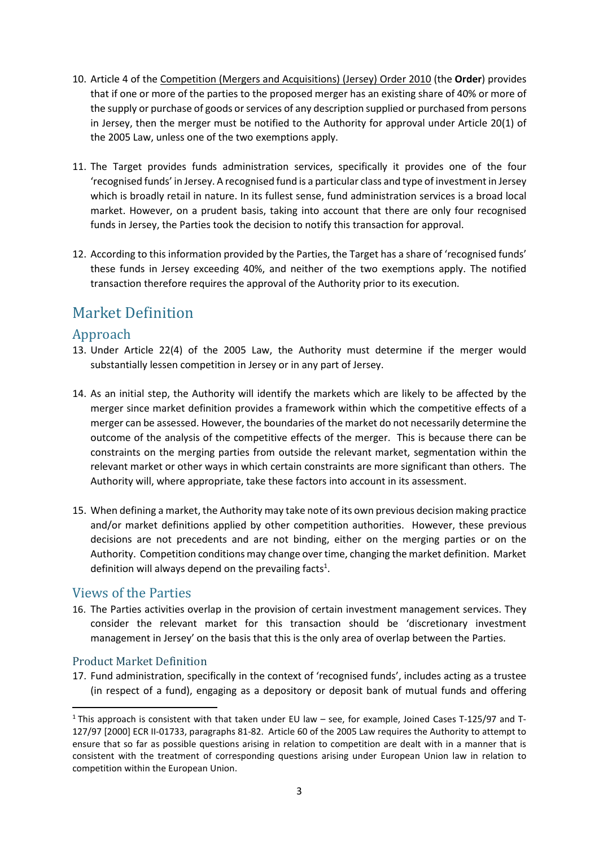- 10. Article 4 of the Competition (Mergers and Acquisitions) (Jersey) Order 2010 (the **Order**) provides that if one or more of the parties to the proposed merger has an existing share of 40% or more of the supply or purchase of goods or services of any description supplied or purchased from persons in Jersey, then the merger must be notified to the Authority for approval under Article 20(1) of the 2005 Law, unless one of the two exemptions apply.
- 11. The Target provides funds administration services, specifically it provides one of the four 'recognised funds' in Jersey. A recognised fund is a particular class and type of investment in Jersey which is broadly retail in nature. In its fullest sense, fund administration services is a broad local market. However, on a prudent basis, taking into account that there are only four recognised funds in Jersey, the Parties took the decision to notify this transaction for approval.
- 12. According to this information provided by the Parties, the Target has a share of 'recognised funds' these funds in Jersey exceeding 40%, and neither of the two exemptions apply. The notified transaction therefore requires the approval of the Authority prior to its execution.

# Market Definition

## Approach

- 13. Under Article 22(4) of the 2005 Law, the Authority must determine if the merger would substantially lessen competition in Jersey or in any part of Jersey.
- 14. As an initial step, the Authority will identify the markets which are likely to be affected by the merger since market definition provides a framework within which the competitive effects of a merger can be assessed. However, the boundaries of the market do not necessarily determine the outcome of the analysis of the competitive effects of the merger. This is because there can be constraints on the merging parties from outside the relevant market, segmentation within the relevant market or other ways in which certain constraints are more significant than others. The Authority will, where appropriate, take these factors into account in its assessment.
- 15. When defining a market, the Authority may take note of its own previous decision making practice and/or market definitions applied by other competition authorities. However, these previous decisions are not precedents and are not binding, either on the merging parties or on the Authority. Competition conditions may change over time, changing the market definition. Market definition will always depend on the prevailing facts<sup>1</sup>.

### Views of the Parties

16. The Parties activities overlap in the provision of certain investment management services. They consider the relevant market for this transaction should be 'discretionary investment management in Jersey' on the basis that this is the only area of overlap between the Parties.

#### Product Market Definition

-

17. Fund administration, specifically in the context of 'recognised funds', includes acting as a trustee (in respect of a fund), engaging as a depository or deposit bank of mutual funds and offering

<sup>&</sup>lt;sup>1</sup> This approach is consistent with that taken under EU law – see, for example, Joined Cases T-125/97 and T-127/97 [2000] ECR II-01733, paragraphs 81-82. Article 60 of the 2005 Law requires the Authority to attempt to ensure that so far as possible questions arising in relation to competition are dealt with in a manner that is consistent with the treatment of corresponding questions arising under European Union law in relation to competition within the European Union.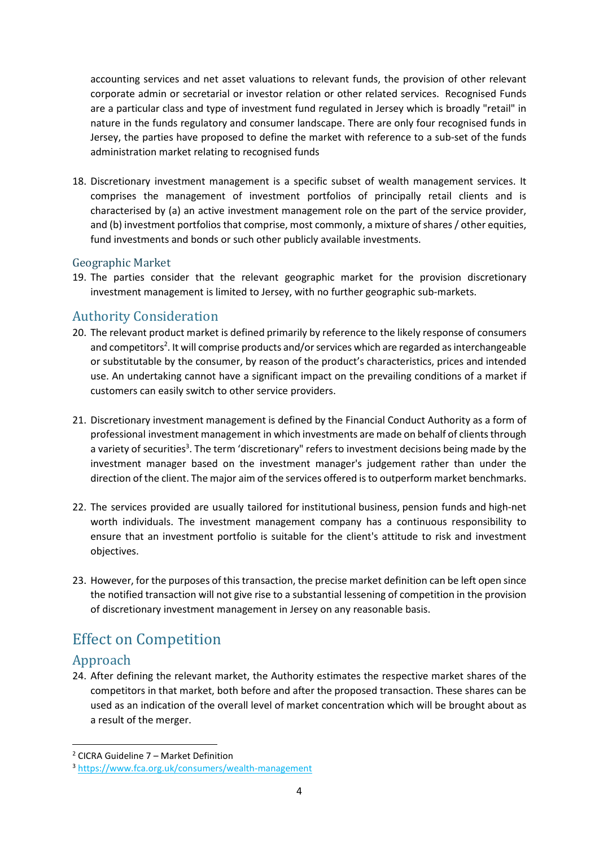accounting services and net asset valuations to relevant funds, the provision of other relevant corporate admin or secretarial or investor relation or other related services. Recognised Funds are a particular class and type of investment fund regulated in Jersey which is broadly "retail" in nature in the funds regulatory and consumer landscape. There are only four recognised funds in Jersey, the parties have proposed to define the market with reference to a sub-set of the funds administration market relating to recognised funds

18. Discretionary investment management is a specific subset of wealth management services. It comprises the management of investment portfolios of principally retail clients and is characterised by (a) an active investment management role on the part of the service provider, and (b) investment portfolios that comprise, most commonly, a mixture of shares / other equities, fund investments and bonds or such other publicly available investments.

#### Geographic Market

19. The parties consider that the relevant geographic market for the provision discretionary investment management is limited to Jersey, with no further geographic sub-markets.

## Authority Consideration

- 20. The relevant product market is defined primarily by reference to the likely response of consumers and competitors<sup>2</sup>. It will comprise products and/or services which are regarded as interchangeable or substitutable by the consumer, by reason of the product's characteristics, prices and intended use. An undertaking cannot have a significant impact on the prevailing conditions of a market if customers can easily switch to other service providers.
- 21. Discretionary investment management is defined by the Financial Conduct Authority as a form of professional investment management in which investments are made on behalf of clients through a variety of securities<sup>3</sup>. The term 'discretionary" refers to investment decisions being made by the investment manager based on the investment manager's judgement rather than under the direction of the client. The major aim of the services offered is to outperform market benchmarks.
- 22. The services provided are usually tailored for institutional business, pension funds and high-net worth individuals. The investment management company has a continuous responsibility to ensure that an investment portfolio is suitable for the client's attitude to risk and investment objectives.
- 23. However, for the purposes of this transaction, the precise market definition can be left open since the notified transaction will not give rise to a substantial lessening of competition in the provision of discretionary investment management in Jersey on any reasonable basis.

# Effect on Competition

### Approach

<u>.</u>

24. After defining the relevant market, the Authority estimates the respective market shares of the competitors in that market, both before and after the proposed transaction. These shares can be used as an indication of the overall level of market concentration which will be brought about as a result of the merger.

<sup>2</sup> CICRA Guideline 7 – Market Definition

<sup>3</sup> https://www.fca.org.uk/consumers/wealth-management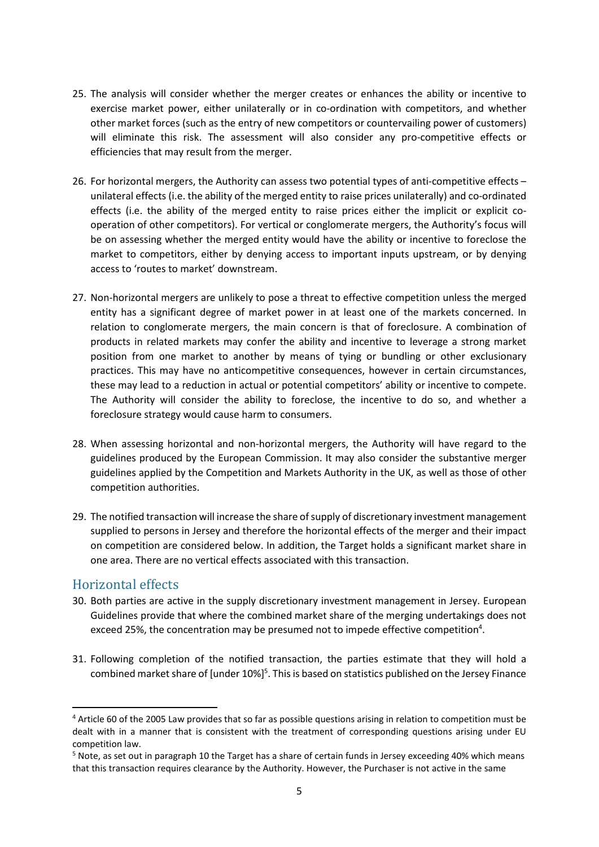- 25. The analysis will consider whether the merger creates or enhances the ability or incentive to exercise market power, either unilaterally or in co-ordination with competitors, and whether other market forces (such as the entry of new competitors or countervailing power of customers) will eliminate this risk. The assessment will also consider any pro-competitive effects or efficiencies that may result from the merger.
- 26. For horizontal mergers, the Authority can assess two potential types of anti-competitive effects unilateral effects (i.e. the ability of the merged entity to raise prices unilaterally) and co-ordinated effects (i.e. the ability of the merged entity to raise prices either the implicit or explicit cooperation of other competitors). For vertical or conglomerate mergers, the Authority's focus will be on assessing whether the merged entity would have the ability or incentive to foreclose the market to competitors, either by denying access to important inputs upstream, or by denying access to 'routes to market' downstream.
- 27. Non-horizontal mergers are unlikely to pose a threat to effective competition unless the merged entity has a significant degree of market power in at least one of the markets concerned. In relation to conglomerate mergers, the main concern is that of foreclosure. A combination of products in related markets may confer the ability and incentive to leverage a strong market position from one market to another by means of tying or bundling or other exclusionary practices. This may have no anticompetitive consequences, however in certain circumstances, these may lead to a reduction in actual or potential competitors' ability or incentive to compete. The Authority will consider the ability to foreclose, the incentive to do so, and whether a foreclosure strategy would cause harm to consumers.
- 28. When assessing horizontal and non-horizontal mergers, the Authority will have regard to the guidelines produced by the European Commission. It may also consider the substantive merger guidelines applied by the Competition and Markets Authority in the UK, as well as those of other competition authorities.
- 29. The notified transaction will increase the share of supply of discretionary investment management supplied to persons in Jersey and therefore the horizontal effects of the merger and their impact on competition are considered below. In addition, the Target holds a significant market share in one area. There are no vertical effects associated with this transaction.

#### Horizontal effects

-

- 30. Both parties are active in the supply discretionary investment management in Jersey. European Guidelines provide that where the combined market share of the merging undertakings does not exceed 25%, the concentration may be presumed not to impede effective competition<sup>4</sup>.
- 31. Following completion of the notified transaction, the parties estimate that they will hold a combined market share of [under 10%]<sup>5</sup>. This is based on statistics published on the Jersey Finance

<sup>&</sup>lt;sup>4</sup> Article 60 of the 2005 Law provides that so far as possible questions arising in relation to competition must be dealt with in a manner that is consistent with the treatment of corresponding questions arising under EU competition law.

<sup>&</sup>lt;sup>5</sup> Note, as set out in paragraph 10 the Target has a share of certain funds in Jersey exceeding 40% which means that this transaction requires clearance by the Authority. However, the Purchaser is not active in the same